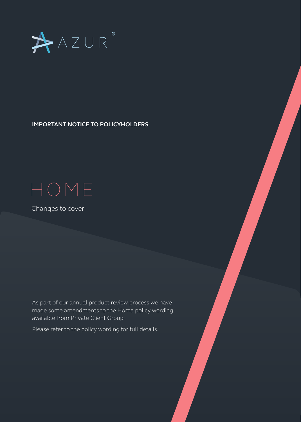

**IMPORTANT NOTICE TO POLICYHOLDERS** 

## HOME

Changes to cover

As part of our annual product review process we have made some amendments to the Home policy wording available from Private Client Group.

Please refer to the policy wording for full details.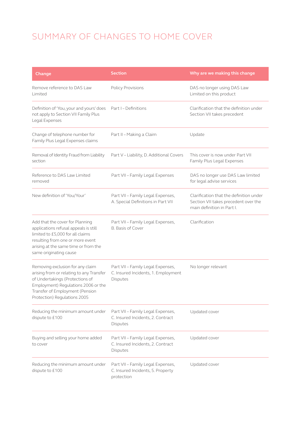## SUMMARY OF CHANGES TO HOME COVER

| Change                                                                                                                                                                                                                    | <b>Section</b>                                                                       | Why are we making this change                                                                                 |
|---------------------------------------------------------------------------------------------------------------------------------------------------------------------------------------------------------------------------|--------------------------------------------------------------------------------------|---------------------------------------------------------------------------------------------------------------|
| Remove reference to DAS Law<br>Limited                                                                                                                                                                                    | <b>Policy Provisions</b>                                                             | DAS no longer using DAS Law<br>Limited on this product                                                        |
| Definition of 'You, your and yours' does<br>not apply to Section VII Family Plus<br>Legal Expenses                                                                                                                        | Part I - Definitions                                                                 | Clarification that the definition under<br>Section VII takes precedent                                        |
| Change of telephone number for<br>Family Plus Legal Expenses claims                                                                                                                                                       | Part II - Making a Claim                                                             | Update                                                                                                        |
| Removal of Identity Fraud from Liability<br>section                                                                                                                                                                       | Part V - Liability, D. Additional Covers                                             | This cover is now under Part VII<br>Family Plus Legal Expenses                                                |
| Reference to DAS Law Limited<br>removed                                                                                                                                                                                   | Part VII - Family Legal Expenses                                                     | DAS no longer use DAS Law limited<br>for legal advise services                                                |
| New definition of 'You/Your'                                                                                                                                                                                              | Part VII - Family Legal Expenses,<br>A. Special Definitions in Part VII              | Clarification that the definition under<br>Section VII takes precedent over the<br>main definition in Part I. |
| Add that the cover for Planning<br>applications refusal appeals is still<br>limited to £5,000 for all claims<br>resulting from one or more event<br>arising at the same time or from the<br>same originating cause        | Part VII - Family Legal Expenses,<br><b>B.</b> Basis of Cover                        | Clarification                                                                                                 |
| Removing exclusion for any claim<br>arising from or relating to any Transfer<br>of Undertakings (Protections of<br>Employment) Regulations 2006 or the<br>Transfer of Employment (Pension<br>Protection) Regulations 2005 | Part VII - Family Legal Expenses,<br>C. Insured Incidents, 1. Employment<br>Disputes | No longer relevant                                                                                            |
| Reducing the minimum amount under<br>dispute to £100                                                                                                                                                                      | Part VII - Family Legal Expenses,<br>C. Insured Incidents, 2. Contract<br>Disputes   | Updated cover                                                                                                 |
| Buying and selling your home added<br>to cover                                                                                                                                                                            | Part VII - Family Legal Expenses,<br>C. Insured Incidents, 2. Contract<br>Disputes   | Updated cover                                                                                                 |
| Reducing the minimum amount under<br>dispute to £100                                                                                                                                                                      | Part VII - Family Legal Expenses,<br>C. Insured Incidents, 5. Property<br>protection | Updated cover                                                                                                 |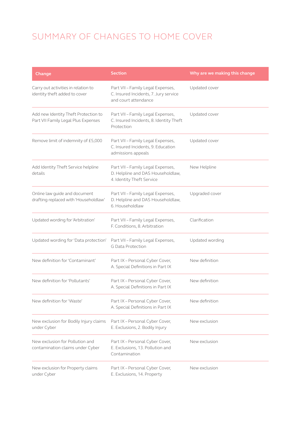## SUMMARY OF CHANGES TO HOME COVER

| Change                                                                      | <b>Section</b>                                                                                      | Why are we making this change |
|-----------------------------------------------------------------------------|-----------------------------------------------------------------------------------------------------|-------------------------------|
| Carry out activities in relation to<br>identity theft added to cover        | Part VII - Family Legal Expenses,<br>C. Insured Incidents, 7. Jury service<br>and court attendance  | Updated cover                 |
| Add new Identity Theft Protection to<br>Part VII Family Legal Plus Expenses | Part VII - Family Legal Expenses,<br>C. Insured Incidents, 8. Identity Theft<br>Protection          | Updated cover                 |
| Remove limit of indemnity of £5,000                                         | Part VII - Family Legal Expenses,<br>C. Insured Incidents, 9. Education<br>admissions appeals       | Updated cover                 |
| Add Identity Theft Service helpline<br>details                              | Part VII - Family Legal Expenses,<br>D. Helpline and DAS Householdlaw,<br>4. Identity Theft Service | New Helpline                  |
| Online law guide and document<br>drafting replaced with 'Householdlaw'      | Part VII - Family Legal Expenses,<br>D. Helpline and DAS Householdlaw,<br>6. Householdlaw           | Upgraded cover                |
| Updated wording for 'Arbitration'                                           | Part VII - Family Legal Expenses,<br>F. Conditions, 8. Arbitration                                  | Clarification                 |
| Updated wording for 'Data protection'                                       | Part VII - Family Legal Expenses,<br><b>G Data Protection</b>                                       | Updated wording               |
| New definition for 'Contaminant'                                            | Part IX - Personal Cyber Cover,<br>A. Special Definitions in Part IX                                | New definition                |
| New definition for 'Pollutants'                                             | Part IX - Personal Cyber Cover,<br>A. Special Definitions in Part IX                                | New definition                |
| New definition for 'Waste'                                                  | Part IX - Personal Cyber Cover,<br>A. Special Definitions in Part IX                                | New definition                |
| New exclusion for Bodily Injury claims<br>under Cyber                       | Part IX - Personal Cyber Cover,<br>E. Exclusions, 2. Bodily Injury                                  | New exclusion                 |
| New exclusion for Pollution and<br>contamination claims under Cyber         | Part IX - Personal Cyber Cover,<br>E. Exclusions, 13. Pollution and<br>Contamination                | New exclusion                 |
| New exclusion for Property claims<br>under Cyber                            | Part IX - Personal Cyber Cover,<br>E. Exclusions, 14. Property                                      | New exclusion                 |